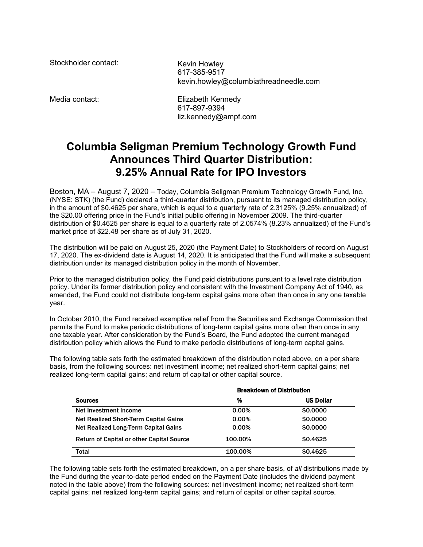Stockholder contact: Kevin Howley

617-385-9517 kevin.howley@columbiathreadneedle.com

Media contact: Elizabeth Kennedy 617-897-9394 liz.kennedy@ampf.com

## **Columbia Seligman Premium Technology Growth Fund Announces Third Quarter Distribution: 9.25% Annual Rate for IPO Investors**

Boston, MA – August 7, 2020 – Today, Columbia Seligman Premium Technology Growth Fund, Inc. (NYSE: STK) (the Fund) declared a third-quarter distribution, pursuant to its managed distribution policy, in the amount of \$0.4625 per share, which is equal to a quarterly rate of 2.3125% (9.25% annualized) of the \$20.00 offering price in the Fund's initial public offering in November 2009. The third-quarter distribution of \$0.4625 per share is equal to a quarterly rate of 2.0574% (8.23% annualized) of the Fund's market price of \$22.48 per share as of July 31, 2020.

The distribution will be paid on August 25, 2020 (the Payment Date) to Stockholders of record on August 17, 2020. The ex-dividend date is August 14, 2020. It is anticipated that the Fund will make a subsequent distribution under its managed distribution policy in the month of November.

Prior to the managed distribution policy, the Fund paid distributions pursuant to a level rate distribution policy. Under its former distribution policy and consistent with the Investment Company Act of 1940, as amended, the Fund could not distribute long-term capital gains more often than once in any one taxable year.

In October 2010, the Fund received exemptive relief from the Securities and Exchange Commission that permits the Fund to make periodic distributions of long-term capital gains more often than once in any one taxable year. After consideration by the Fund's Board, the Fund adopted the current managed distribution policy which allows the Fund to make periodic distributions of long-term capital gains.

The following table sets forth the estimated breakdown of the distribution noted above, on a per share basis, from the following sources: net investment income; net realized short-term capital gains; net realized long-term capital gains; and return of capital or other capital source.

|                                                  | <b>Breakdown of Distribution</b> |                  |
|--------------------------------------------------|----------------------------------|------------------|
| <b>Sources</b>                                   | %                                | <b>US Dollar</b> |
| Net Investment Income                            | 0.00%                            | \$0,0000         |
| Net Realized Short-Term Capital Gains            | $0.00\%$                         | \$0,0000         |
| Net Realized Long-Term Capital Gains             | $0.00\%$                         | \$0,0000         |
| <b>Return of Capital or other Capital Source</b> | 100.00%                          | \$0.4625         |
| <b>Total</b>                                     | 100.00%                          | \$0.4625         |

The following table sets forth the estimated breakdown, on a per share basis, of *all* distributions made by the Fund during the year-to-date period ended on the Payment Date (includes the dividend payment noted in the table above) from the following sources: net investment income; net realized short-term capital gains; net realized long-term capital gains; and return of capital or other capital source.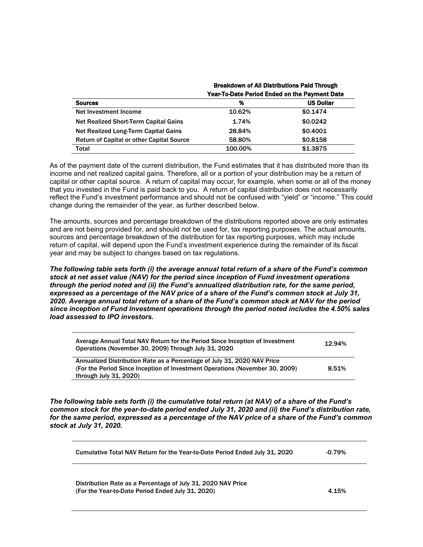|                                                  | <b>Breakdown of All Distributions Paid Through</b><br><b>Year-To-Date Period Ended on the Payment Date</b> |                  |
|--------------------------------------------------|------------------------------------------------------------------------------------------------------------|------------------|
|                                                  |                                                                                                            |                  |
| <b>Sources</b>                                   | %                                                                                                          | <b>US Dollar</b> |
| Net Investment Income                            | 10.62%                                                                                                     | \$0.1474         |
| Net Realized Short-Term Capital Gains            | 1.74%                                                                                                      | \$0.0242         |
| Net Realized Long-Term Capital Gains             | 28.84%                                                                                                     | \$0,4001         |
| <b>Return of Capital or other Capital Source</b> | 58.80%                                                                                                     | \$0.8158         |
| Total                                            | 100.00%                                                                                                    | \$1,3875         |

As of the payment date of the current distribution, the Fund estimates that it has distributed more than its income and net realized capital gains. Therefore, all or a portion of your distribution may be a return of capital or other capital source. A return of capital may occur, for example, when some or all of the money that you invested in the Fund is paid back to you. A return of capital distribution does not necessarily reflect the Fund's investment performance and should not be confused with "yield" or "income." This could change during the remainder of the year, as further described below.

The amounts, sources and percentage breakdown of the distributions reported above are only estimates and are not being provided for, and should not be used for, tax reporting purposes. The actual amounts, sources and percentage breakdown of the distribution for tax reporting purposes, which may include return of capital, will depend upon the Fund's investment experience during the remainder of its fiscal year and may be subject to changes based on tax regulations.

*The following table sets forth (i) the average annual total return of a share of the Fund's common stock at net asset value (NAV) for the period since inception of Fund investment operations through the period noted and (ii) the Fund's annualized distribution rate, for the same period, expressed as a percentage of the NAV price of a share of the Fund's common stock at July 31, 2020. Average annual total return of a share of the Fund's common stock at NAV for the period since inception of Fund Investment operations through the period noted includes the 4.50% sales load assessed to IPO investors.*

| Average Annual Total NAV Return for the Period Since Inception of Investment<br>Operations (November 30, 2009) Through July 31, 2020 | 12.94% |
|--------------------------------------------------------------------------------------------------------------------------------------|--------|
| Annualized Distribution Rate as a Percentage of July 31, 2020 NAV Price                                                              |        |
| (For the Period Since Inception of Investment Operations (November 30, 2009)                                                         | 8.51%  |
| through July 31, 2020)                                                                                                               |        |

*The following table sets forth (i) the cumulative total return (at NAV) of a share of the Fund's common stock for the year-to-date period ended July 31, 2020 and (ii) the Fund's distribution rate, for the same period, expressed as a percentage of the NAV price of a share of the Fund's common stock at July 31, 2020.*

| Cumulative Total NAV Return for the Year-to-Date Period Ended July 31, 2020 | $-0.79%$ |
|-----------------------------------------------------------------------------|----------|
|-----------------------------------------------------------------------------|----------|

Distribution Rate as a Percentage of July 31, 2020 NAV Price (For the Year-to-Date Period Ended July 31, 2020) 4.15%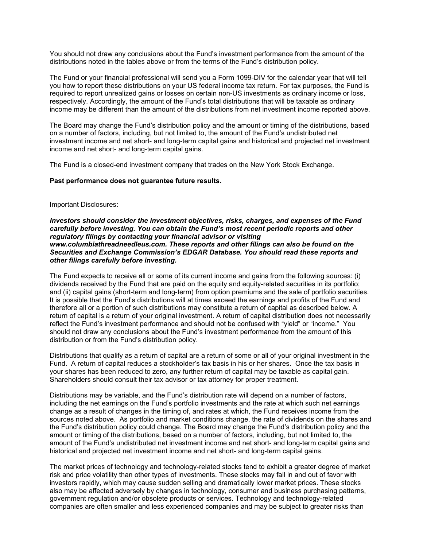You should not draw any conclusions about the Fund's investment performance from the amount of the distributions noted in the tables above or from the terms of the Fund's distribution policy.

The Fund or your financial professional will send you a Form 1099-DIV for the calendar year that will tell you how to report these distributions on your US federal income tax return. For tax purposes, the Fund is required to report unrealized gains or losses on certain non-US investments as ordinary income or loss, respectively. Accordingly, the amount of the Fund's total distributions that will be taxable as ordinary income may be different than the amount of the distributions from net investment income reported above.

The Board may change the Fund's distribution policy and the amount or timing of the distributions, based on a number of factors, including, but not limited to, the amount of the Fund's undistributed net investment income and net short- and long-term capital gains and historical and projected net investment income and net short- and long-term capital gains.

The Fund is a closed-end investment company that trades on the New York Stock Exchange.

## **Past performance does not guarantee future results.**

## Important Disclosures:

*Investors should consider the investment objectives, risks, charges, and expenses of the Fund carefully before investing. You can obtain the Fund's most recent periodic reports and other regulatory filings by contacting your financial advisor or visiting www.columbiathreadneedleus.com. These reports and other filings can also be found on the Securities and Exchange Commission's EDGAR Database. You should read these reports and other filings carefully before investing.*

The Fund expects to receive all or some of its current income and gains from the following sources: (i) dividends received by the Fund that are paid on the equity and equity-related securities in its portfolio; and (ii) capital gains (short-term and long-term) from option premiums and the sale of portfolio securities. It is possible that the Fund's distributions will at times exceed the earnings and profits of the Fund and therefore all or a portion of such distributions may constitute a return of capital as described below. A return of capital is a return of your original investment. A return of capital distribution does not necessarily reflect the Fund's investment performance and should not be confused with "yield" or "income." You should not draw any conclusions about the Fund's investment performance from the amount of this distribution or from the Fund's distribution policy.

Distributions that qualify as a return of capital are a return of some or all of your original investment in the Fund. A return of capital reduces a stockholder's tax basis in his or her shares. Once the tax basis in your shares has been reduced to zero, any further return of capital may be taxable as capital gain. Shareholders should consult their tax advisor or tax attorney for proper treatment.

Distributions may be variable, and the Fund's distribution rate will depend on a number of factors, including the net earnings on the Fund's portfolio investments and the rate at which such net earnings change as a result of changes in the timing of, and rates at which, the Fund receives income from the sources noted above. As portfolio and market conditions change, the rate of dividends on the shares and the Fund's distribution policy could change. The Board may change the Fund's distribution policy and the amount or timing of the distributions, based on a number of factors, including, but not limited to, the amount of the Fund's undistributed net investment income and net short- and long-term capital gains and historical and projected net investment income and net short- and long-term capital gains.

The market prices of technology and technology-related stocks tend to exhibit a greater degree of market risk and price volatility than other types of investments. These stocks may fall in and out of favor with investors rapidly, which may cause sudden selling and dramatically lower market prices. These stocks also may be affected adversely by changes in technology, consumer and business purchasing patterns, government regulation and/or obsolete products or services. Technology and technology-related companies are often smaller and less experienced companies and may be subject to greater risks than